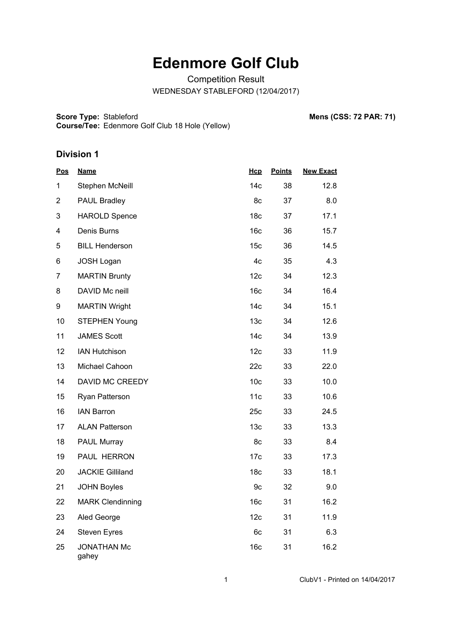## **Edenmore Golf Club**

Competition Result

WEDNESDAY STABLEFORD (12/04/2017)

Score Type: Stableford **Course/Tee:** Edenmore Golf Club 18 Hole (Yellow) **Mens (CSS: 72 PAR: 71)** 

## **Division 1**

| <b>Pos</b>     | <b>Name</b>                 | Hcp             | <b>Points</b> | <b>New Exact</b> |
|----------------|-----------------------------|-----------------|---------------|------------------|
| 1              | Stephen McNeill             | 14 <sub>c</sub> | 38            | 12.8             |
| $\overline{2}$ | PAUL Bradley                | 8c              | 37            | 8.0              |
| 3              | <b>HAROLD Spence</b>        | 18 <sub>c</sub> | 37            | 17.1             |
| 4              | Denis Burns                 | 16 <sub>c</sub> | 36            | 15.7             |
| 5              | <b>BILL Henderson</b>       | 15 <sub>c</sub> | 36            | 14.5             |
| 6              | <b>JOSH Logan</b>           | 4c              | 35            | 4.3              |
| $\overline{7}$ | <b>MARTIN Brunty</b>        | 12c             | 34            | 12.3             |
| 8              | DAVID Mc neill              | 16 <sub>c</sub> | 34            | 16.4             |
| 9              | <b>MARTIN Wright</b>        | 14c             | 34            | 15.1             |
| 10             | <b>STEPHEN Young</b>        | 13 <sub>c</sub> | 34            | 12.6             |
| 11             | <b>JAMES Scott</b>          | 14 <sub>c</sub> | 34            | 13.9             |
| 12             | <b>IAN Hutchison</b>        | 12c             | 33            | 11.9             |
| 13             | Michael Cahoon              | 22c             | 33            | 22.0             |
| 14             | DAVID MC CREEDY             | 10 <sub>c</sub> | 33            | 10.0             |
| 15             | Ryan Patterson              | 11c             | 33            | 10.6             |
| 16             | <b>IAN Barron</b>           | 25c             | 33            | 24.5             |
| 17             | <b>ALAN Patterson</b>       | 13 <sub>c</sub> | 33            | 13.3             |
| 18             | PAUL Murray                 | 8c              | 33            | 8.4              |
| 19             | PAUL HERRON                 | 17 <sub>c</sub> | 33            | 17.3             |
| 20             | <b>JACKIE Gilliland</b>     | 18 <sub>c</sub> | 33            | 18.1             |
| 21             | <b>JOHN Boyles</b>          | 9c              | 32            | 9.0              |
| 22             | <b>MARK Clendinning</b>     | 16c             | 31            | 16.2             |
| 23             | Aled George                 | 12c             | 31            | 11.9             |
| 24             | <b>Steven Eyres</b>         | 6c              | 31            | 6.3              |
| 25             | <b>JONATHAN Mc</b><br>gahey | 16 <sub>c</sub> | 31            | 16.2             |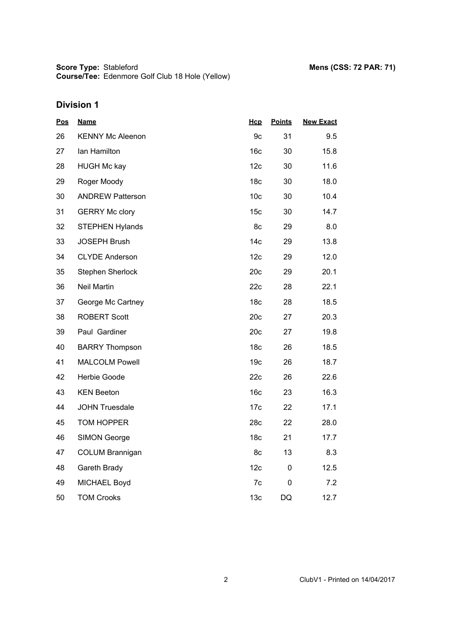**Score Type: Course/Tee:** Stableford **Mens (CSS: 72 PAR: 71)** Edenmore Golf Club 18 Hole (Yellow)

## **Division 1**

| <u>Pos</u> | <b>Name</b>             | Hcp             | <b>Points</b> | <b>New Exact</b> |
|------------|-------------------------|-----------------|---------------|------------------|
| 26         | <b>KENNY Mc Aleenon</b> | 9c              | 31            | 9.5              |
| 27         | lan Hamilton            | 16 <sub>c</sub> | 30            | 15.8             |
| 28         | <b>HUGH Mc kay</b>      | 12c             | 30            | 11.6             |
| 29         | Roger Moody             | 18 <sub>c</sub> | 30            | 18.0             |
| 30         | <b>ANDREW Patterson</b> | 10 <sub>c</sub> | 30            | 10.4             |
| 31         | <b>GERRY Mc clory</b>   | 15 <sub>c</sub> | 30            | 14.7             |
| 32         | <b>STEPHEN Hylands</b>  | 8c              | 29            | 8.0              |
| 33         | <b>JOSEPH Brush</b>     | 14 <sub>c</sub> | 29            | 13.8             |
| 34         | <b>CLYDE Anderson</b>   | 12c             | 29            | 12.0             |
| 35         | Stephen Sherlock        | 20c             | 29            | 20.1             |
| 36         | <b>Neil Martin</b>      | 22c             | 28            | 22.1             |
| 37         | George Mc Cartney       | 18 <sub>c</sub> | 28            | 18.5             |
| 38         | <b>ROBERT Scott</b>     | 20c             | 27            | 20.3             |
| 39         | Paul Gardiner           | 20c             | 27            | 19.8             |
| 40         | <b>BARRY Thompson</b>   | 18 <sub>c</sub> | 26            | 18.5             |
| 41         | <b>MALCOLM Powell</b>   | 19 <sub>c</sub> | 26            | 18.7             |
| 42         | Herbie Goode            | 22c             | 26            | 22.6             |
| 43         | <b>KEN Beeton</b>       | 16 <sub>c</sub> | 23            | 16.3             |
| 44         | <b>JOHN Truesdale</b>   | 17c             | 22            | 17.1             |
| 45         | <b>TOM HOPPER</b>       | 28c             | 22            | 28.0             |
| 46         | <b>SIMON George</b>     | 18 <sub>c</sub> | 21            | 17.7             |
| 47         | <b>COLUM Brannigan</b>  | 8c              | 13            | 8.3              |
| 48         | Gareth Brady            | 12c             | 0             | 12.5             |
| 49         | MICHAEL Boyd            | 7c              | 0             | 7.2              |
| 50         | <b>TOM Crooks</b>       | 13 <sub>c</sub> | DQ            | 12.7             |